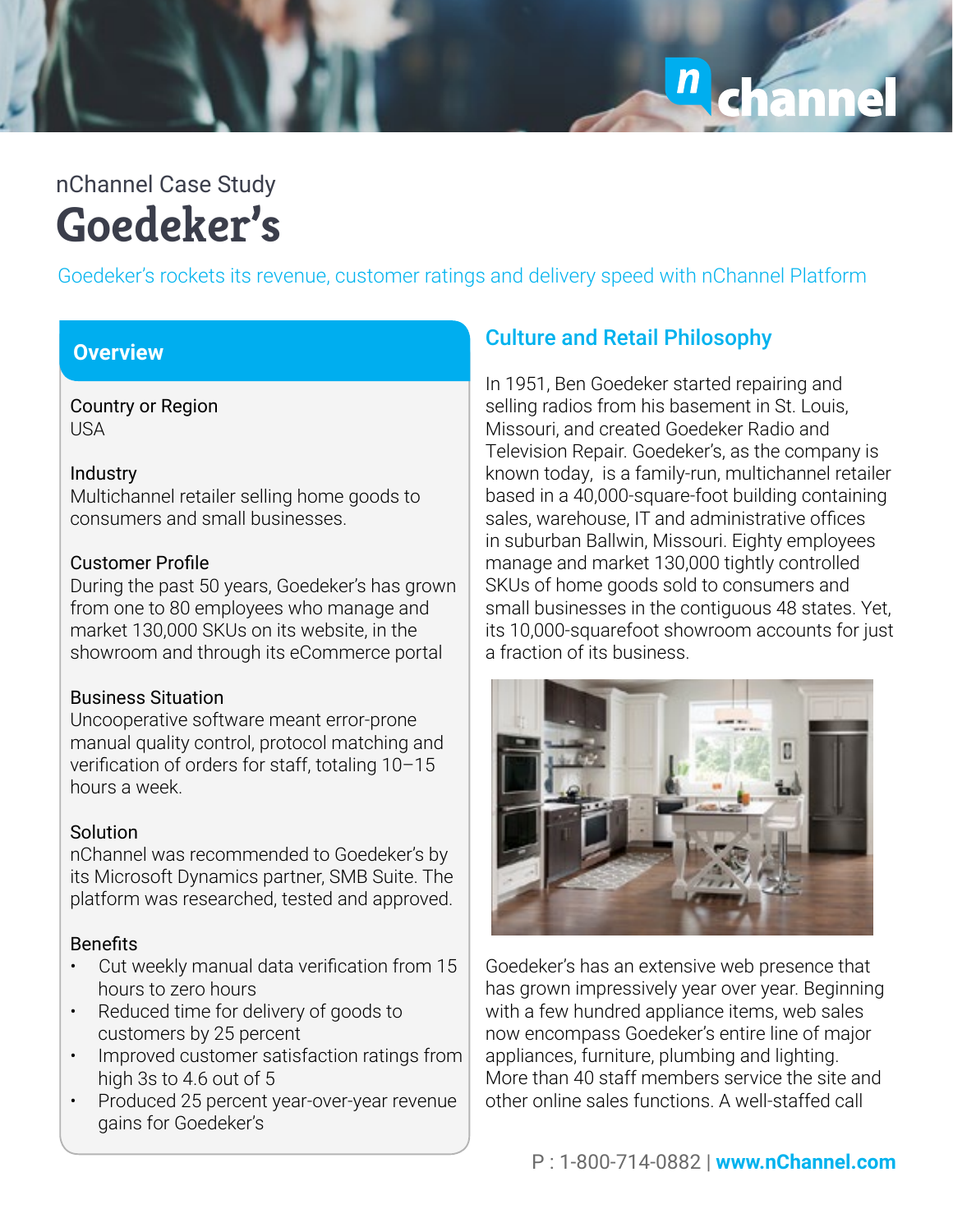# n<br>Chann

## **Goedeker's** nChannel Case Study

Goedeker's rockets its revenue, customer ratings and delivery speed with nChannel Platform

### **Overview**

Country or Region USA

#### **Industry**

Multichannel retailer selling home goods to consumers and small businesses.

#### Customer Profile

During the past 50 years, Goedeker's has grown from one to 80 employees who manage and market 130,000 SKUs on its website, in the showroom and through its eCommerce portal

#### Business Situation

Uncooperative software meant error-prone manual quality control, protocol matching and verification of orders for staff, totaling 10–15 hours a week.

### **Solution**

nChannel was recommended to Goedeker's by its Microsoft Dynamics partner, SMB Suite. The platform was researched, tested and approved.

### Benefits

- Cut weekly manual data verification from 15 hours to zero hours
- Reduced time for delivery of goods to customers by 25 percent
- Improved customer satisfaction ratings from high 3s to 4.6 out of 5
- Produced 25 percent year-over-year revenue gains for Goedeker's

## **Culture and Retail Philosophy**

In 1951, Ben Goedeker started repairing and selling radios from his basement in St. Louis, Missouri, and created Goedeker Radio and Television Repair. Goedeker's, as the company is known today, is a family-run, multichannel retailer based in a 40,000-square-foot building containing sales, warehouse, IT and administrative offices in suburban Ballwin, Missouri. Eighty employees manage and market 130,000 tightly controlled SKUs of home goods sold to consumers and small businesses in the contiguous 48 states. Yet, its 10,000-squarefoot showroom accounts for just a fraction of its business.



Goedeker's has an extensive web presence that has grown impressively year over year. Beginning with a few hundred appliance items, web sales now encompass Goedeker's entire line of major appliances, furniture, plumbing and lighting. More than 40 staff members service the site and other online sales functions. A well-staffed call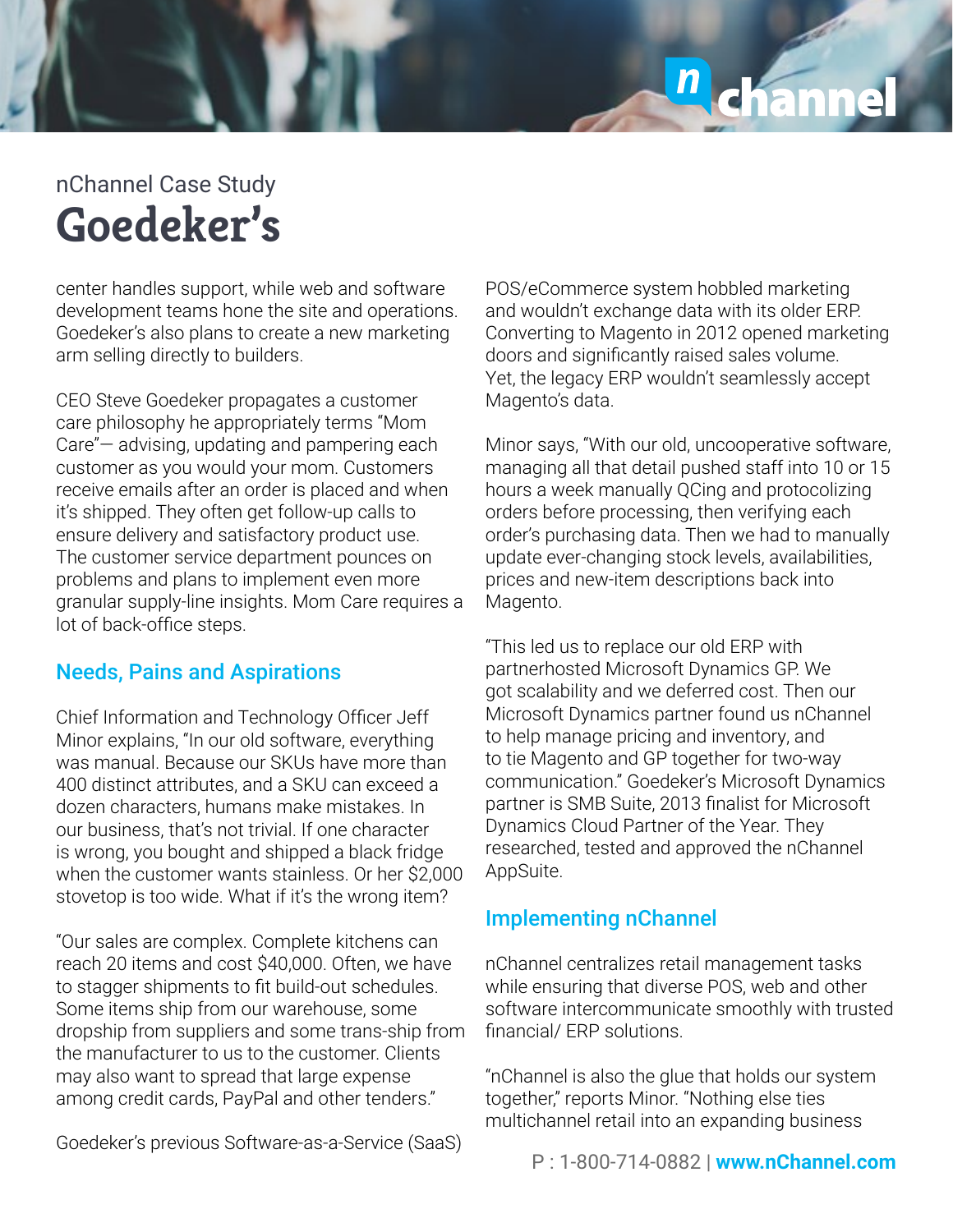# $\frac{1}{2}$

## **Goedeker's** nChannel Case Study

center handles support, while web and software development teams hone the site and operations. Goedeker's also plans to create a new marketing arm selling directly to builders.

CEO Steve Goedeker propagates a customer care philosophy he appropriately terms "Mom Care"— advising, updating and pampering each customer as you would your mom. Customers receive emails after an order is placed and when it's shipped. They often get follow-up calls to ensure delivery and satisfactory product use. The customer service department pounces on problems and plans to implement even more granular supply-line insights. Mom Care requires a lot of back-office steps.

## Needs, Pains and Aspirations

Chief Information and Technology Officer Jeff Minor explains, "In our old software, everything was manual. Because our SKUs have more than 400 distinct attributes, and a SKU can exceed a dozen characters, humans make mistakes. In our business, that's not trivial. If one character is wrong, you bought and shipped a black fridge when the customer wants stainless. Or her \$2,000 stovetop is too wide. What if it's the wrong item?

"Our sales are complex. Complete kitchens can reach 20 items and cost \$40,000. Often, we have to stagger shipments to fit build-out schedules. Some items ship from our warehouse, some dropship from suppliers and some trans-ship from the manufacturer to us to the customer. Clients may also want to spread that large expense among credit cards, PayPal and other tenders."

POS/eCommerce system hobbled marketing and wouldn't exchange data with its older ERP. Converting to Magento in 2012 opened marketing doors and significantly raised sales volume. Yet, the legacy ERP wouldn't seamlessly accept Magento's data.

Minor says, "With our old, uncooperative software, managing all that detail pushed staff into 10 or 15 hours a week manually QCing and protocolizing orders before processing, then verifying each order's purchasing data. Then we had to manually update ever-changing stock levels, availabilities, prices and new-item descriptions back into Magento.

"This led us to replace our old ERP with partnerhosted Microsoft Dynamics GP. We got scalability and we deferred cost. Then our Microsoft Dynamics partner found us nChannel to help manage pricing and inventory, and to tie Magento and GP together for two-way communication." Goedeker's Microsoft Dynamics partner is SMB Suite, 2013 finalist for Microsoft Dynamics Cloud Partner of the Year. They researched, tested and approved the nChannel AppSuite.

## Implementing nChannel

nChannel centralizes retail management tasks while ensuring that diverse POS, web and other software intercommunicate smoothly with trusted financial/ ERP solutions.

"nChannel is also the glue that holds our system together," reports Minor. "Nothing else ties multichannel retail into an expanding business

Goedeker's previous Software-as-a-Service (SaaS)

P : 1-800-714-0882 | **www.nChannel.com**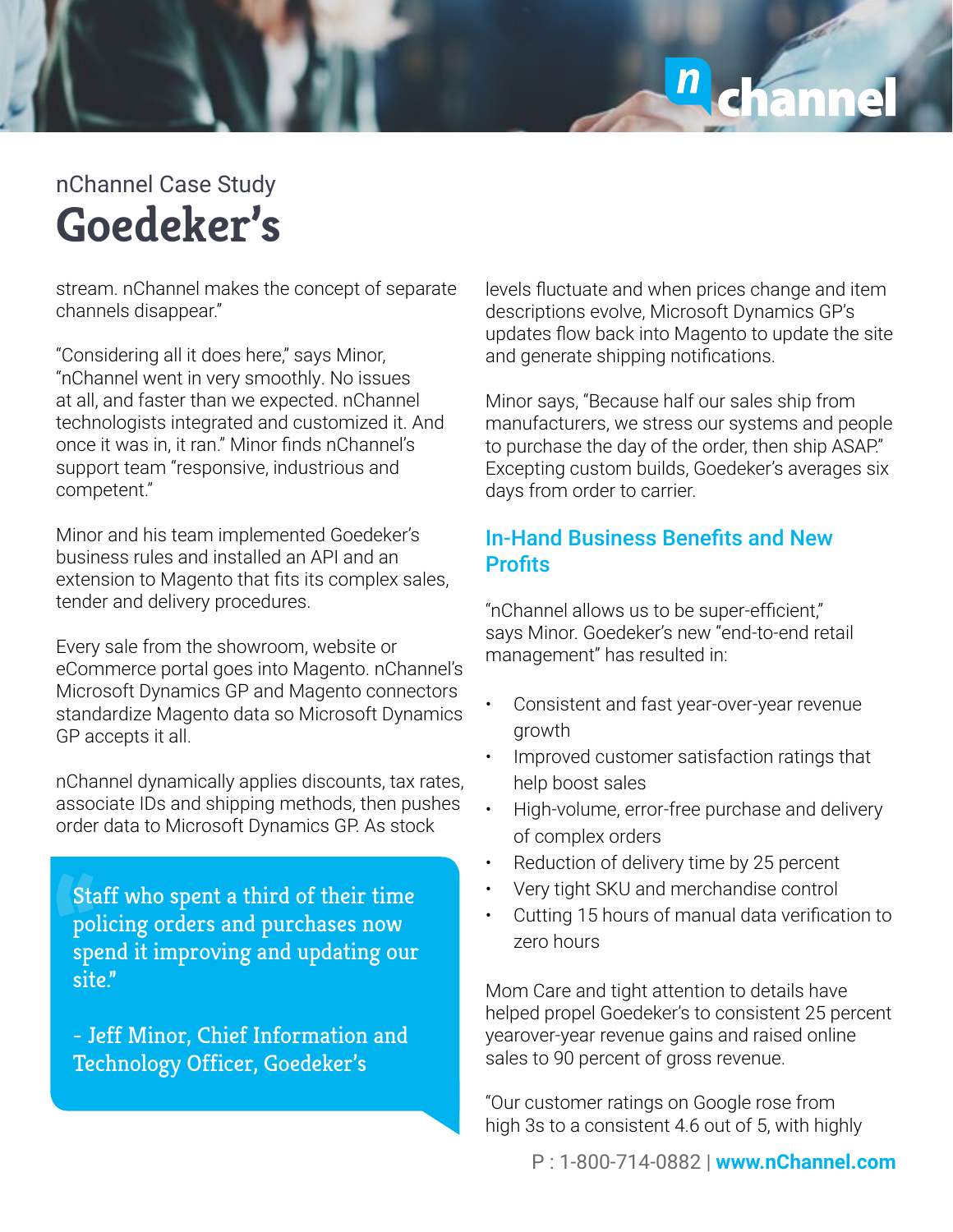## $\mathbf{n}$

## **Goedeker's** nChannel Case Study

stream. nChannel makes the concept of separate channels disappear."

"Considering all it does here," says Minor, "nChannel went in very smoothly. No issues at all, and faster than we expected. nChannel technologists integrated and customized it. And once it was in, it ran." Minor finds nChannel's support team "responsive, industrious and competent."

Minor and his team implemented Goedeker's business rules and installed an API and an extension to Magento that fits its complex sales, tender and delivery procedures.

Every sale from the showroom, website or eCommerce portal goes into Magento. nChannel's Microsoft Dynamics GP and Magento connectors standardize Magento data so Microsoft Dynamics GP accepts it all.

nChannel dynamically applies discounts, tax rates, associate IDs and shipping methods, then pushes order data to Microsoft Dynamics GP. As stock

**"**Staff who spent a third of their time policing orders and purchases now spend it improving and updating our site."

- Jeff Minor, Chief Information and Technology Officer, Goedeker's

levels fluctuate and when prices change and item descriptions evolve, Microsoft Dynamics GP's updates flow back into Magento to update the site and generate shipping notifications.

Minor says, "Because half our sales ship from manufacturers, we stress our systems and people to purchase the day of the order, then ship ASAP." Excepting custom builds, Goedeker's averages six days from order to carrier.

## In-Hand Business Benefits and New **Profits**

"nChannel allows us to be super-efficient," says Minor. Goedeker's new "end-to-end retail management" has resulted in:

- Consistent and fast year-over-year revenue growth
- Improved customer satisfaction ratings that help boost sales
- High-volume, error-free purchase and delivery of complex orders
- Reduction of delivery time by 25 percent
- Very tight SKU and merchandise control
- Cutting 15 hours of manual data verification to zero hours

Mom Care and tight attention to details have helped propel Goedeker's to consistent 25 percent yearover-year revenue gains and raised online sales to 90 percent of gross revenue.

"Our customer ratings on Google rose from high 3s to a consistent 4.6 out of 5, with highly